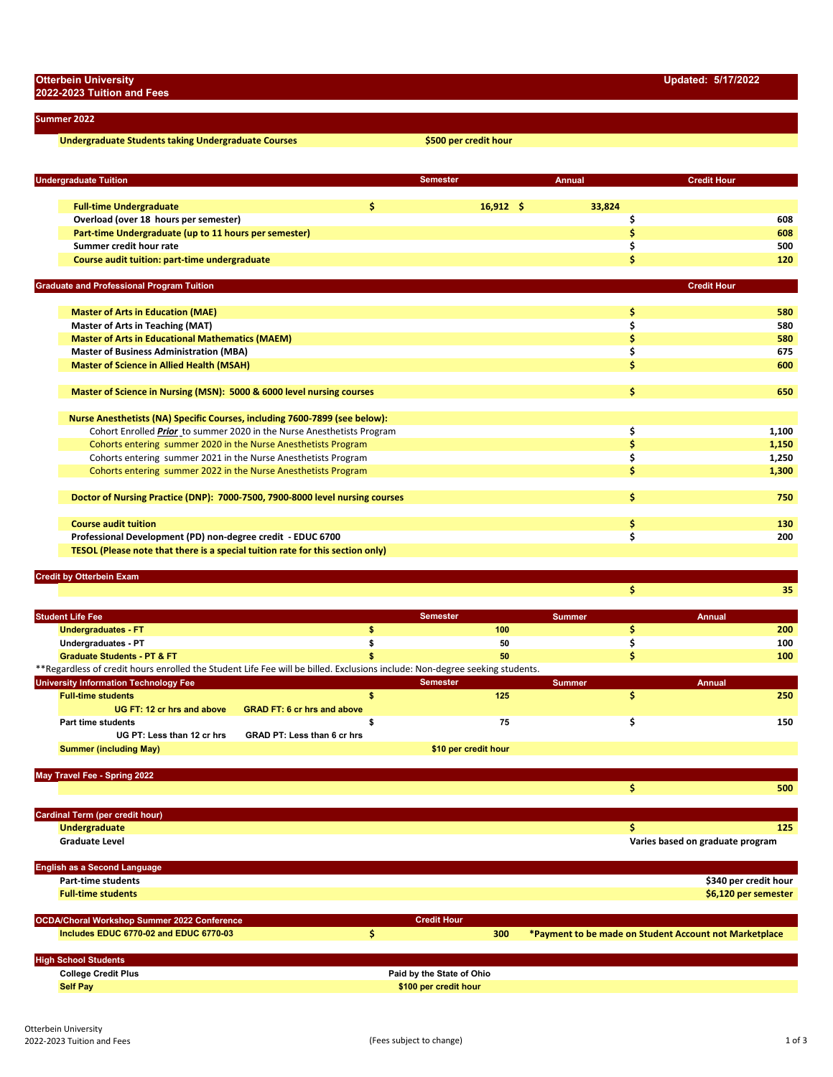**Summer 2022**

**2022-2023 Tuition and Fees**

**Undergraduate Students taking Undergraduate Courses \$500 per credit hour**

| <b>Undergraduate Tuition</b>                                                   |     | <b>Semester</b> |             | <b>Annual</b> | <b>Credit Hour</b> |            |
|--------------------------------------------------------------------------------|-----|-----------------|-------------|---------------|--------------------|------------|
|                                                                                |     |                 |             |               |                    |            |
| <b>Full-time Undergraduate</b>                                                 | \$. |                 | $16,912$ \$ | 33,824        |                    |            |
| Overload (over 18 hours per semester)                                          |     |                 |             |               | \$                 | 608<br>608 |
| Part-time Undergraduate (up to 11 hours per semester)                          |     |                 |             |               | \$                 |            |
| Summer credit hour rate                                                        |     |                 |             |               | \$                 | 500        |
| Course audit tuition: part-time undergraduate                                  |     |                 |             |               | Ś                  | 120        |
| <b>Graduate and Professional Program Tuition</b>                               |     |                 |             |               | <b>Credit Hour</b> |            |
|                                                                                |     |                 |             |               |                    |            |
| <b>Master of Arts in Education (MAE)</b>                                       |     |                 |             |               | \$                 | 580        |
| <b>Master of Arts in Teaching (MAT)</b>                                        |     |                 |             |               | \$                 | 580        |
| <b>Master of Arts in Educational Mathematics (MAEM)</b>                        |     |                 |             |               | \$                 | 580        |
| <b>Master of Business Administration (MBA)</b>                                 |     |                 |             |               | \$                 | 675        |
| <b>Master of Science in Allied Health (MSAH)</b>                               |     |                 |             |               | Ś                  | 600        |
| Master of Science in Nursing (MSN): 5000 & 6000 level nursing courses          |     |                 |             |               | \$                 | 650        |
| Nurse Anesthetists (NA) Specific Courses, including 7600-7899 (see below):     |     |                 |             |               |                    |            |
| Cohort Enrolled Prior to summer 2020 in the Nurse Anesthetists Program         |     |                 |             |               | \$                 | 1,100      |
| Cohorts entering summer 2020 in the Nurse Anesthetists Program                 |     |                 |             |               | \$                 | 1,150      |
| Cohorts entering summer 2021 in the Nurse Anesthetists Program                 |     |                 |             |               | \$                 | 1,250      |
| Cohorts entering summer 2022 in the Nurse Anesthetists Program                 |     |                 |             |               | Ś                  | 1,300      |
|                                                                                |     |                 |             |               |                    |            |
| Doctor of Nursing Practice (DNP): 7000-7500, 7900-8000 level nursing courses   |     |                 |             |               | \$                 | 750        |
| <b>Course audit tuition</b>                                                    |     |                 |             |               | \$                 | 130        |
| Professional Development (PD) non-degree credit - EDUC 6700                    |     |                 |             |               | \$                 | 200        |
| TESOL (Please note that there is a special tuition rate for this section only) |     |                 |             |               |                    |            |
| <b>Credit by Otterbein Exam</b>                                                |     |                 |             |               |                    |            |
|                                                                                |     |                 |             |               | \$                 | 35         |
|                                                                                |     |                 |             |               |                    |            |
| <b>Student Life Fee</b>                                                        |     | <b>Semester</b> |             | <b>Summer</b> | <b>Annual</b>      |            |
| <b>Undergraduates - FT</b>                                                     | \$  |                 | 100         |               | \$                 | 200        |

| _ _ _ _ _ _ _ _ _ _ _ _ _                                                                                                   |                                    |                      |               |        |
|-----------------------------------------------------------------------------------------------------------------------------|------------------------------------|----------------------|---------------|--------|
| Undergraduates - PT                                                                                                         |                                    | 50                   |               | 100    |
| <b>Graduate Students - PT &amp; FT</b>                                                                                      |                                    | 50                   |               | 100    |
| **Regardless of credit hours enrolled the Student Life Fee will be billed. Exclusions include: Non-degree seeking students. |                                    |                      |               |        |
| <b>University Information Technology Fee</b>                                                                                |                                    | <b>Semester</b>      | <b>Summer</b> | Annual |
| <b>Full-time students</b>                                                                                                   |                                    | 125                  |               | 250    |
| UG FT: 12 cr hrs and above                                                                                                  | <b>GRAD FT: 6 cr hrs and above</b> |                      |               |        |
| Part time students                                                                                                          |                                    | 75                   |               | 150    |
| UG PT: Less than 12 cr hrs                                                                                                  | <b>GRAD PT: Less than 6 cr hrs</b> |                      |               |        |
| <b>Summer (including May)</b>                                                                                               |                                    | \$10 per credit hour |               |        |

**May Travel Fee - Spring 2022**

|                                             |                    |     |                                                        | 500                   |
|---------------------------------------------|--------------------|-----|--------------------------------------------------------|-----------------------|
|                                             |                    |     |                                                        |                       |
| Cardinal Term (per credit hour)             |                    |     |                                                        |                       |
| <b>Undergraduate</b>                        |                    |     |                                                        | 125                   |
| <b>Graduate Level</b>                       |                    |     | Varies based on graduate program                       |                       |
|                                             |                    |     |                                                        |                       |
| <b>English as a Second Language</b>         |                    |     |                                                        |                       |
| <b>Part-time students</b>                   |                    |     |                                                        | \$340 per credit hour |
| <b>Full-time students</b>                   |                    |     |                                                        | \$6,120 per semester  |
|                                             |                    |     |                                                        |                       |
| OCDA/Choral Workshop Summer 2022 Conference | <b>Credit Hour</b> |     |                                                        |                       |
| Includes EDUC 6770-02 and EDUC 6770-03      |                    | 300 | *Payment to be made on Student Account not Marketplace |                       |
|                                             |                    |     |                                                        |                       |
|                                             |                    |     |                                                        |                       |

|  | <b>College Credit Plus</b> | Ohio<br>ΩТ                      |  |  |  |
|--|----------------------------|---------------------------------|--|--|--|
|  | <b>Self Pay</b>            | \$400 por crodit<br><b>hour</b> |  |  |  |
|  |                            |                                 |  |  |  |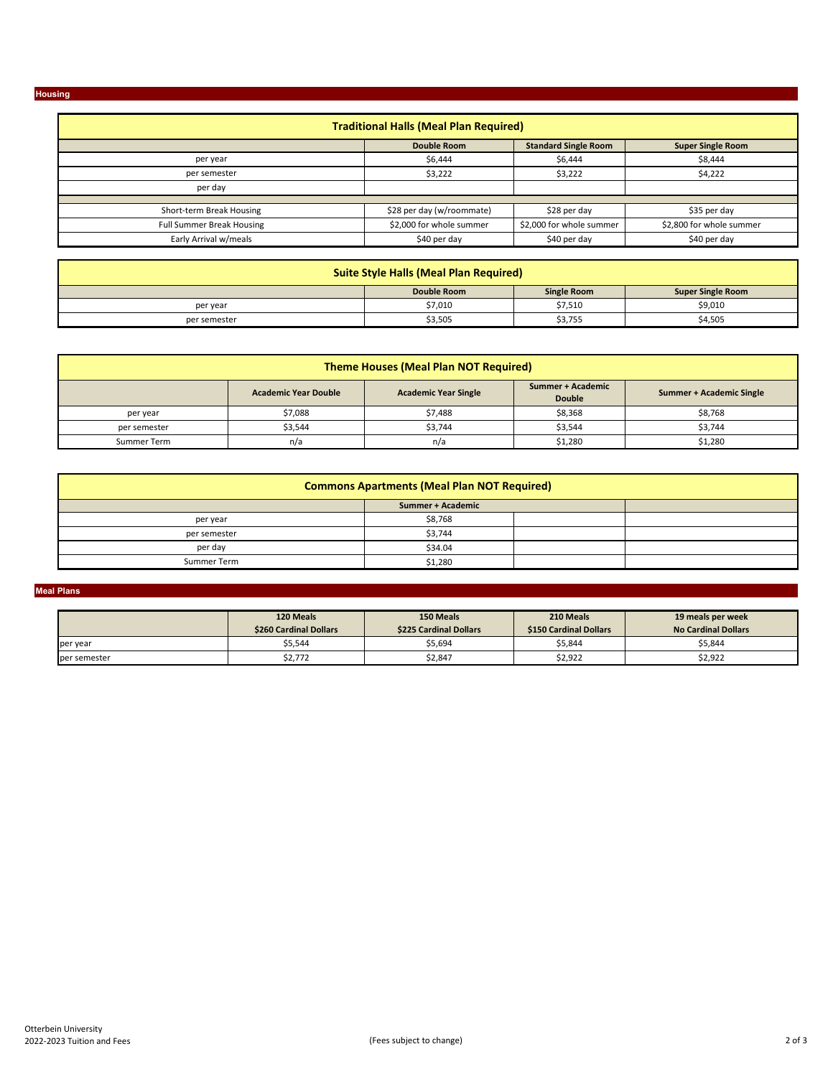**Housing**

## **Double Room**<br>  $\frac{1}{26,444}$  **S6,444 S6,444 S8,444 S8,444**  $$6,444$  $\frac{1}{2}$  \$3,222 \$4,222 \$28 per day (w/roommate) \$28 per day \$35 per day \$2,000 for whole summer \$2,000 for whole summer \$2,800 for whole summer \$40 per day \$40 per day \$40 per day \$40 per day Full Summer Break Housing Short‐term Break Housing **Traditional Halls (Meal Plan Required)** per year per semester per day Early Arrival w/meals

| <b>Suite Style Halls (Meal Plan Required)</b>                 |         |         |         |  |
|---------------------------------------------------------------|---------|---------|---------|--|
| Double Room<br><b>Super Single Room</b><br><b>Single Room</b> |         |         |         |  |
| per year                                                      | \$7,010 | \$7,510 | \$9,010 |  |
| per semester                                                  | \$3,505 | \$3,755 | \$4,505 |  |

| <b>Theme Houses (Meal Plan NOT Required)</b>                                                                                 |         |         |         |         |  |  |
|------------------------------------------------------------------------------------------------------------------------------|---------|---------|---------|---------|--|--|
| Summer + Academic<br><b>Academic Year Double</b><br><b>Academic Year Single</b><br>Summer + Academic Single<br><b>Double</b> |         |         |         |         |  |  |
| per year                                                                                                                     | \$7,088 | \$7,488 | \$8,368 | \$8,768 |  |  |
| per semester                                                                                                                 | \$3,544 | \$3,744 | \$3,544 | \$3,744 |  |  |
| Summer Term                                                                                                                  | n/a     | n/a     | \$1,280 | \$1,280 |  |  |

| <b>Commons Apartments (Meal Plan NOT Required)</b> |         |  |  |  |  |
|----------------------------------------------------|---------|--|--|--|--|
|                                                    |         |  |  |  |  |
| per year                                           | \$8,768 |  |  |  |  |
| per semester                                       | \$3,744 |  |  |  |  |
| per day                                            | \$34.04 |  |  |  |  |
| Summer Term                                        | \$1,280 |  |  |  |  |

## **Meal Plans**

|              | 120 Meals<br>\$260 Cardinal Dollars | 150 Meals<br>\$225 Cardinal Dollars | 210 Meals<br><b>\$150 Cardinal Dollars</b> | 19 meals per week<br><b>No Cardinal Dollars</b> |
|--------------|-------------------------------------|-------------------------------------|--------------------------------------------|-------------------------------------------------|
| per year     | \$5,544                             | \$5,694                             | \$5,844                                    | \$5,844                                         |
| per semester | \$2,772                             | \$2,847                             | \$2,922                                    | \$2,922                                         |